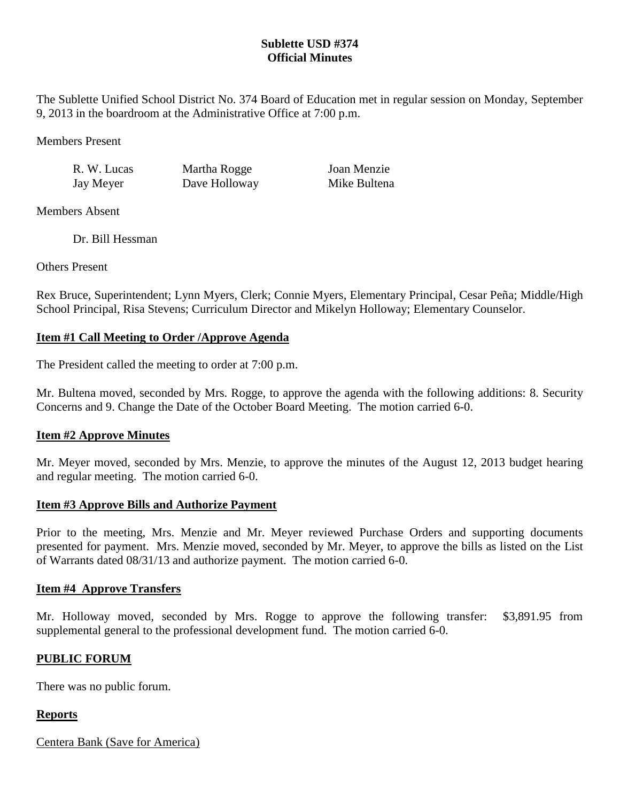## **Sublette USD #374 Official Minutes**

The Sublette Unified School District No. 374 Board of Education met in regular session on Monday, September 9, 2013 in the boardroom at the Administrative Office at 7:00 p.m.

Members Present

R. W. Lucas Martha Rogge Joan Menzie

Jay Meyer Dave Holloway Mike Bultena

Members Absent

Dr. Bill Hessman

Others Present

Rex Bruce, Superintendent; Lynn Myers, Clerk; Connie Myers, Elementary Principal, Cesar Peña; Middle/High School Principal, Risa Stevens; Curriculum Director and Mikelyn Holloway; Elementary Counselor.

# **Item #1 Call Meeting to Order /Approve Agenda**

The President called the meeting to order at 7:00 p.m.

Mr. Bultena moved, seconded by Mrs. Rogge, to approve the agenda with the following additions: 8. Security Concerns and 9. Change the Date of the October Board Meeting. The motion carried 6-0.

# **Item #2 Approve Minutes**

Mr. Meyer moved, seconded by Mrs. Menzie, to approve the minutes of the August 12, 2013 budget hearing and regular meeting. The motion carried 6-0.

## **Item #3 Approve Bills and Authorize Payment**

Prior to the meeting, Mrs. Menzie and Mr. Meyer reviewed Purchase Orders and supporting documents presented for payment. Mrs. Menzie moved, seconded by Mr. Meyer, to approve the bills as listed on the List of Warrants dated 08/31/13 and authorize payment. The motion carried 6-0.

## **Item #4 Approve Transfers**

Mr. Holloway moved, seconded by Mrs. Rogge to approve the following transfer: \$3,891.95 from supplemental general to the professional development fund. The motion carried 6-0.

# **PUBLIC FORUM**

There was no public forum.

# **Reports**

Centera Bank (Save for America)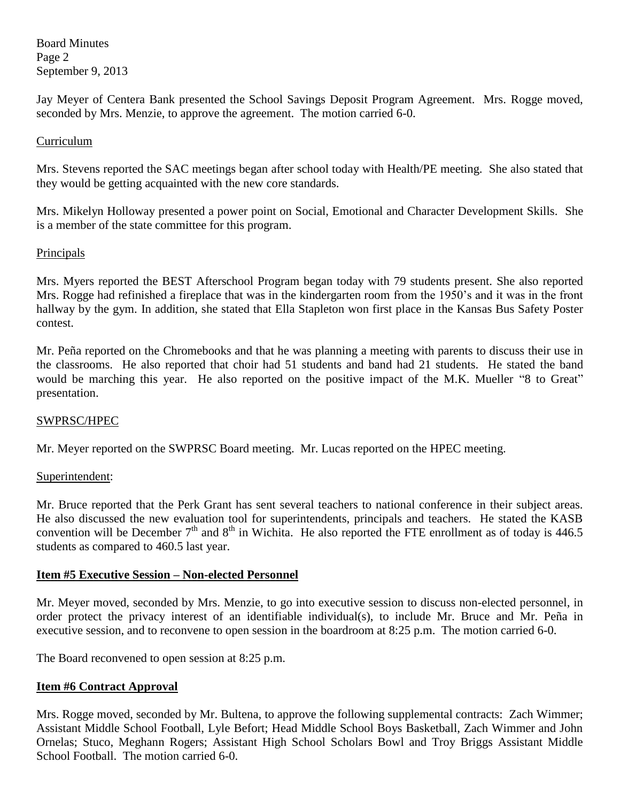Board Minutes Page 2 September 9, 2013

Jay Meyer of Centera Bank presented the School Savings Deposit Program Agreement. Mrs. Rogge moved, seconded by Mrs. Menzie, to approve the agreement. The motion carried 6-0.

### Curriculum

Mrs. Stevens reported the SAC meetings began after school today with Health/PE meeting. She also stated that they would be getting acquainted with the new core standards.

Mrs. Mikelyn Holloway presented a power point on Social, Emotional and Character Development Skills. She is a member of the state committee for this program.

### Principals

Mrs. Myers reported the BEST Afterschool Program began today with 79 students present. She also reported Mrs. Rogge had refinished a fireplace that was in the kindergarten room from the 1950's and it was in the front hallway by the gym. In addition, she stated that Ella Stapleton won first place in the Kansas Bus Safety Poster contest.

Mr. Peña reported on the Chromebooks and that he was planning a meeting with parents to discuss their use in the classrooms. He also reported that choir had 51 students and band had 21 students. He stated the band would be marching this year. He also reported on the positive impact of the M.K. Mueller "8 to Great" presentation.

#### SWPRSC/HPEC

Mr. Meyer reported on the SWPRSC Board meeting. Mr. Lucas reported on the HPEC meeting.

#### Superintendent:

Mr. Bruce reported that the Perk Grant has sent several teachers to national conference in their subject areas. He also discussed the new evaluation tool for superintendents, principals and teachers. He stated the KASB convention will be December  $7<sup>th</sup>$  and  $8<sup>th</sup>$  in Wichita. He also reported the FTE enrollment as of today is 446.5 students as compared to 460.5 last year.

## **Item #5 Executive Session – Non-elected Personnel**

Mr. Meyer moved, seconded by Mrs. Menzie, to go into executive session to discuss non-elected personnel, in order protect the privacy interest of an identifiable individual(s), to include Mr. Bruce and Mr. Peña in executive session, and to reconvene to open session in the boardroom at 8:25 p.m. The motion carried 6-0.

The Board reconvened to open session at 8:25 p.m.

## **Item #6 Contract Approval**

Mrs. Rogge moved, seconded by Mr. Bultena, to approve the following supplemental contracts: Zach Wimmer; Assistant Middle School Football, Lyle Befort; Head Middle School Boys Basketball, Zach Wimmer and John Ornelas; Stuco, Meghann Rogers; Assistant High School Scholars Bowl and Troy Briggs Assistant Middle School Football. The motion carried 6-0.